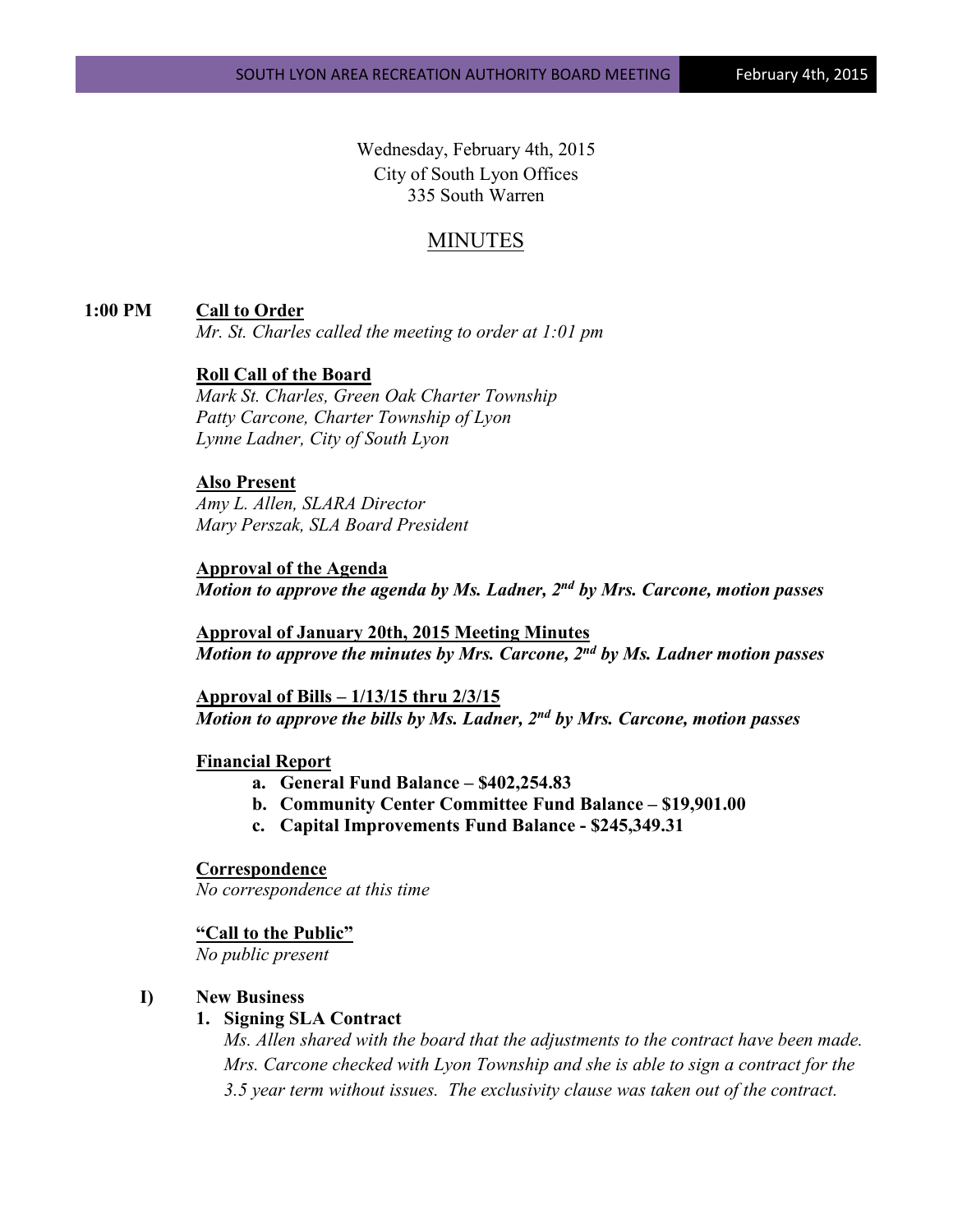Wednesday, February 4th, 2015 City of South Lyon Offices 335 South Warren

## MINUTES

### **1:00 PM Call to Order**

*Mr. St. Charles called the meeting to order at 1:01 pm*

## **Roll Call of the Board**

*Mark St. Charles, Green Oak Charter Township Patty Carcone, Charter Township of Lyon Lynne Ladner, City of South Lyon* 

## **Also Present**

*Amy L. Allen, SLARA Director Mary Perszak, SLA Board President*

**Approval of the Agenda** *Motion to approve the agenda by Ms. Ladner, 2nd by Mrs. Carcone, motion passes*

**Approval of January 20th, 2015 Meeting Minutes** *Motion to approve the minutes by Mrs. Carcone, 2nd by Ms. Ladner motion passes*

**Approval of Bills – 1/13/15 thru 2/3/15** *Motion to approve the bills by Ms. Ladner, 2nd by Mrs. Carcone, motion passes*

## **Financial Report**

- **a. General Fund Balance – \$402,254.83**
- **b. Community Center Committee Fund Balance – \$19,901.00**
- **c. Capital Improvements Fund Balance - \$245,349.31**

#### **Correspondence**

*No correspondence at this time*

#### **"Call to the Public"**

*No public present*

## **I) New Business**

#### **1. Signing SLA Contract**

*Ms. Allen shared with the board that the adjustments to the contract have been made. Mrs. Carcone checked with Lyon Township and she is able to sign a contract for the 3.5 year term without issues. The exclusivity clause was taken out of the contract.*